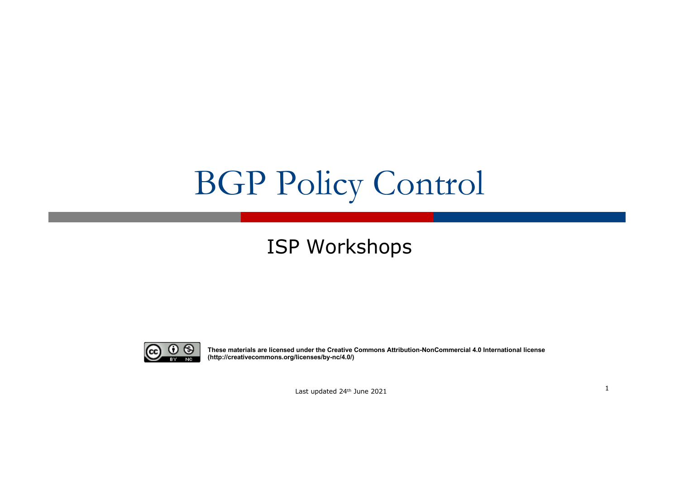# BGP Policy Control

#### ISP Workshops



**These materials are licensed under the Creative Commons Attribution-NonCommercial 4.0 International license (http://creativecommons.org/licenses/by-nc/4.0/)**

<sup>1</sup> Last updated 24th June 2021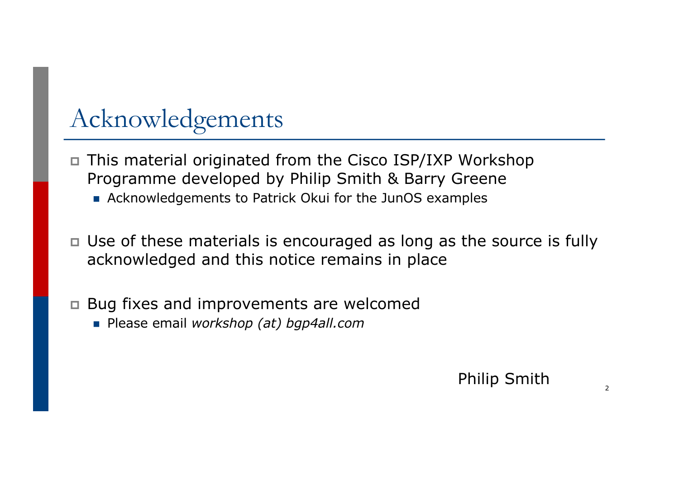# Acknowledgements

- p This material originated from the Cisco ISP/IXP Workshop Programme developed by Philip Smith & Barry Greene
	- Acknowledgements to Patrick Okui for the JunOS examples
- p Use of these materials is encouraged as long as the source is fully acknowledged and this notice remains in place
- p Bug fixes and improvements are welcomed
	- n Please email *workshop (at) bgp4all.com*

#### Philip Smith 2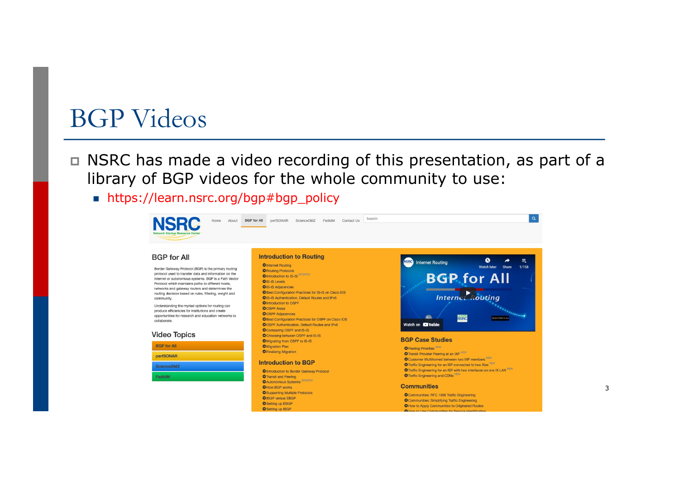#### BGP Videos

- p NSRC has made a video recording of this presentation, as part of a library of BGP videos for the whole community to use:
	- n https://learn.nsrc.org/bgp#bgp\_policy

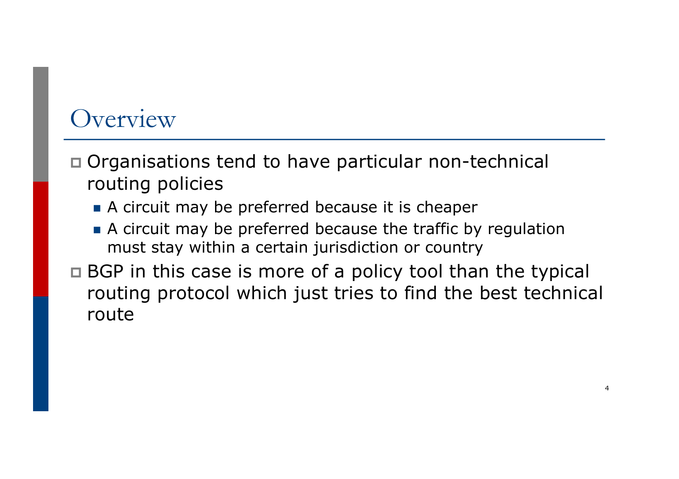### Overview

- p Organisations tend to have particular non-technical routing policies
	- A circuit may be preferred because it is cheaper
	- A circuit may be preferred because the traffic by regulation must stay within a certain jurisdiction or country
- □ BGP in this case is more of a policy tool than the typical routing protocol which just tries to find the best technical route

4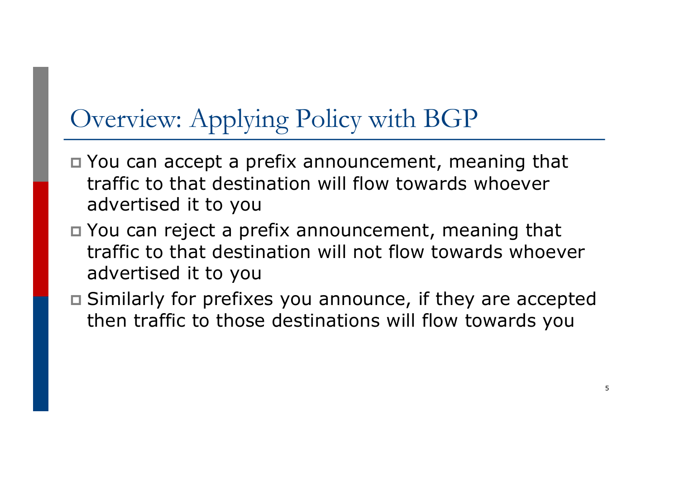# Overview: Applying Policy with BGP

- p You can accept a prefix announcement, meaning that traffic to that destination will flow towards whoever advertised it to you
- p You can reject a prefix announcement, meaning that traffic to that destination will not flow towards whoever advertised it to you
- p Similarly for prefixes you announce, if they are accepted then traffic to those destinations will flow towards you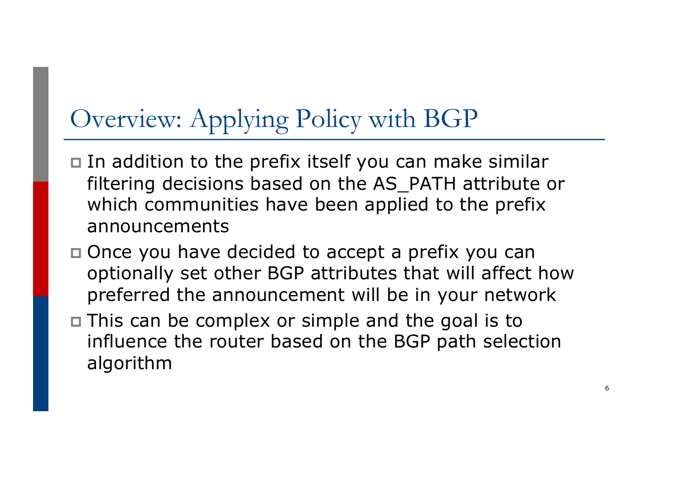# Overview: Applying Policy with BGP

- p In addition to the prefix itself you can make similar filtering decisions based on the AS\_PATH attribute or which communities have been applied to the prefix announcements
- p Once you have decided to accept a prefix you can optionally set other BGP attributes that will affect how preferred the announcement will be in your network
- p This can be complex or simple and the goal is to influence the router based on the BGP path selection algorithm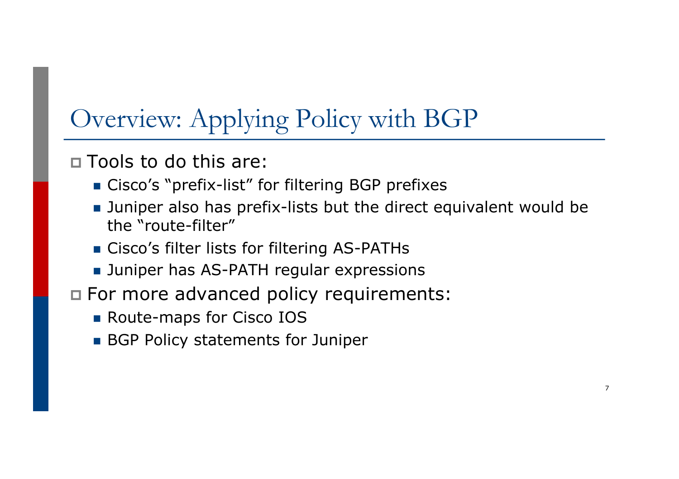# Overview: Applying Policy with BGP

p Tools to do this are:

- **n** Cisco's "prefix-list" for filtering BGP prefixes
- **Juniper also has prefix-lists but the direct equivalent would be** the "route-filter"
- **n** Cisco's filter lists for filtering AS-PATHs
- **DED Juniper has AS-PATH regular expressions**
- p For more advanced policy requirements:
	- **n** Route-maps for Cisco IOS
	- **BGP Policy statements for Juniper**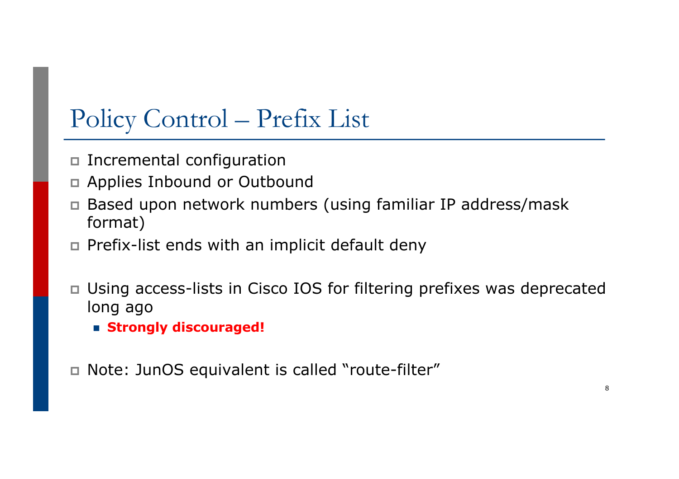# Policy Control – Prefix List

- p Incremental configuration
- p Applies Inbound or Outbound
- p Based upon network numbers (using familiar IP address/mask format)
- p Prefix-list ends with an implicit default deny
- p Using access-lists in Cisco IOS for filtering prefixes was deprecated long ago
	- n **Strongly discouraged!**
- p Note: JunOS equivalent is called "route-filter"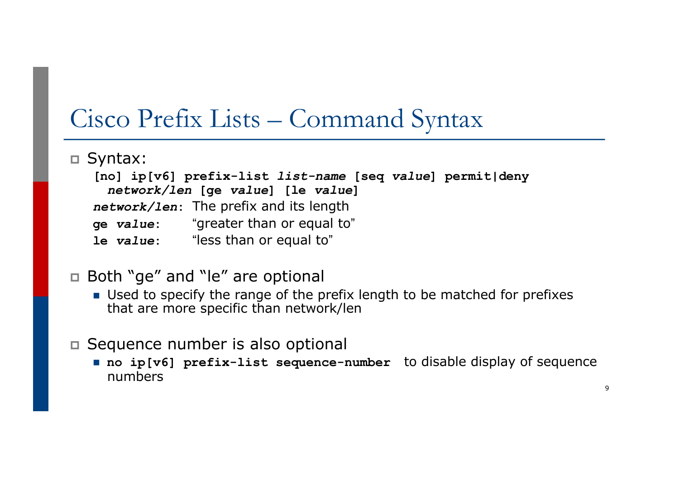### Cisco Prefix Lists – Command Syntax

p Syntax:

**[no] ip[v6] prefix-list** *list-name* **[seq** *value***] permit|deny** *network/len* **[ge** *value***] [le** *value***]** *network/len***:** The prefix and its length **ge** *value***:** "greater than or equal to" **le** *value***:** "less than or equal to"

#### p Both "ge" and "le" are optional

- Used to specify the range of the prefix length to be matched for prefixes that are more specific than network/len
- p Sequence number is also optional
	- no ip[v6] prefix-list sequence-number to disable display of sequence numbers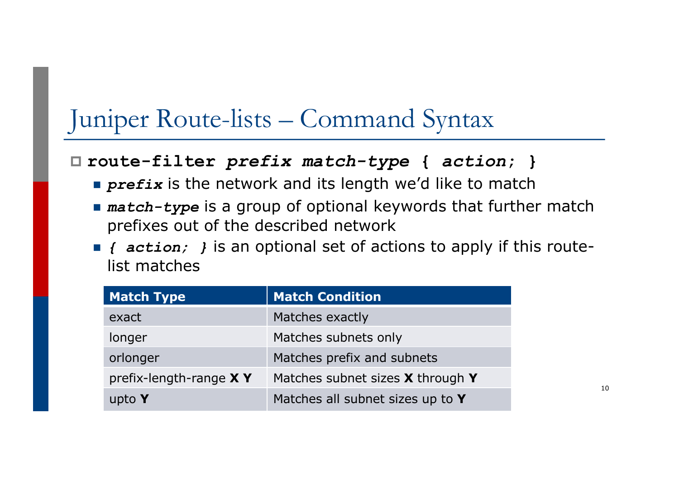## Juniper Route-lists – Command Syntax

#### p **route-filter** *prefix match-type* **{** *action***; }**

- **prefix** is the network and its length we'd like to match
- **n** match-type is a group of optional keywords that further match prefixes out of the described network
- **n** *{* action; } is an optional set of actions to apply if this routelist matches

| <b>Match Type</b>         | <b>Match Condition</b>               |
|---------------------------|--------------------------------------|
| exact                     | Matches exactly                      |
| longer                    | Matches subnets only                 |
| orlonger                  | Matches prefix and subnets           |
| prefix-length-range $X$ Y | Matches subnet sizes $X$ through $Y$ |
| upto Y                    | Matches all subnet sizes up to Y     |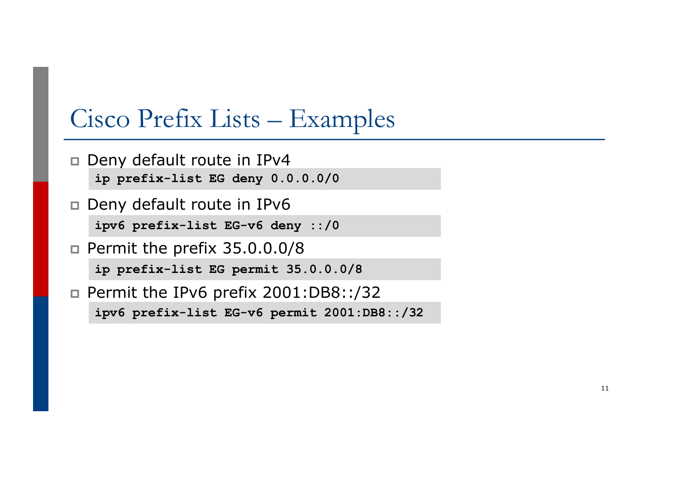### Cisco Prefix Lists – Examples

- p Deny default route in IPv4 **ip prefix-list EG deny 0.0.0.0/0**
- p Deny default route in IPv6 **ipv6 prefix-list EG-v6 deny ::/0**
- **p** Permit the prefix  $35.0.0.0/8$ **ip prefix-list EG permit 35.0.0.0/8**
- **p** Permit the IPv6 prefix  $2001:DB8::/32$ **ipv6 prefix-list EG-v6 permit 2001:DB8::/32**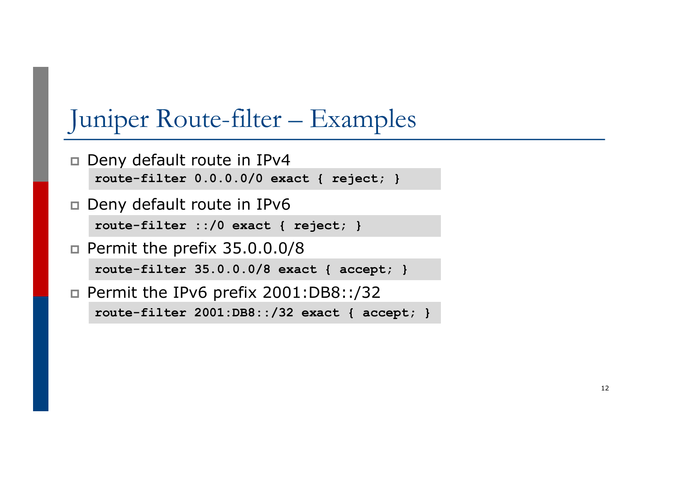## Juniper Route-filter – Examples

- p Deny default route in IPv4 **route-filter 0.0.0.0/0 exact { reject; }**
- p Deny default route in IPv6 **route-filter ::/0 exact { reject; }**
- **p** Permit the prefix  $35.0.0.0/8$ **route-filter 35.0.0.0/8 exact { accept; }**
- p Permit the IPv6 prefix 2001:DB8::/32 **route-filter 2001:DB8::/32 exact { accept; }**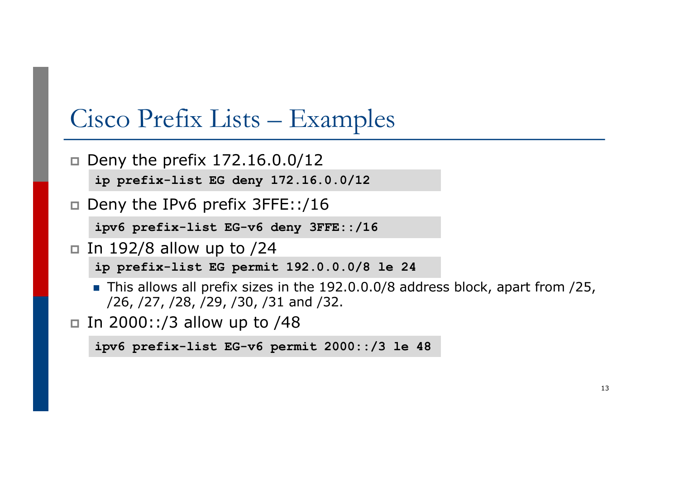### Cisco Prefix Lists – Examples

- $\Box$  Deny the prefix 172.16.0.0/12 **ip prefix-list EG deny 172.16.0.0/12**
- p Deny the IPv6 prefix 3FFE::/16

**ipv6 prefix-list EG-v6 deny 3FFE::/16**

 $\Box$  In 192/8 allow up to /24

**ip prefix-list EG permit 192.0.0.0/8 le 24**

- $\blacksquare$  This allows all prefix sizes in the 192.0.0.0/8 address block, apart from /25, /26, /27, /28, /29, /30, /31 and /32.
- In 2000::/3 allow up to  $/48$

```
ipv6 prefix-list EG-v6 permit 2000::/3 le 48
```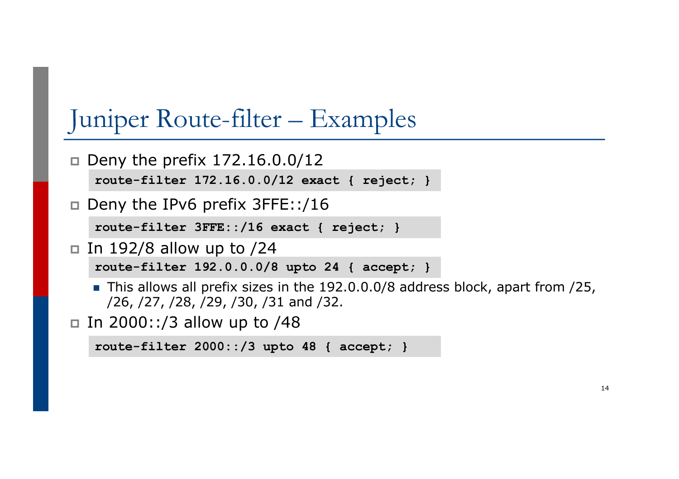# Juniper Route-filter – Examples

- $\Box$  Deny the prefix 172.16.0.0/12 **route-filter 172.16.0.0/12 exact { reject; }**
- p Deny the IPv6 prefix 3FFE::/16

**route-filter 3FFE::/16 exact { reject; }**

- $\Box$  In 192/8 allow up to /24 **route-filter 192.0.0.0/8 upto 24 { accept; }**
	- $\blacksquare$  This allows all prefix sizes in the 192.0.0.0/8 address block, apart from /25,
	- /26, /27, /28, /29, /30, /31 and /32.
- □ In 2000::/3 allow up to  $/48$

```
route-filter 2000::/3 upto 48 { accept; }
```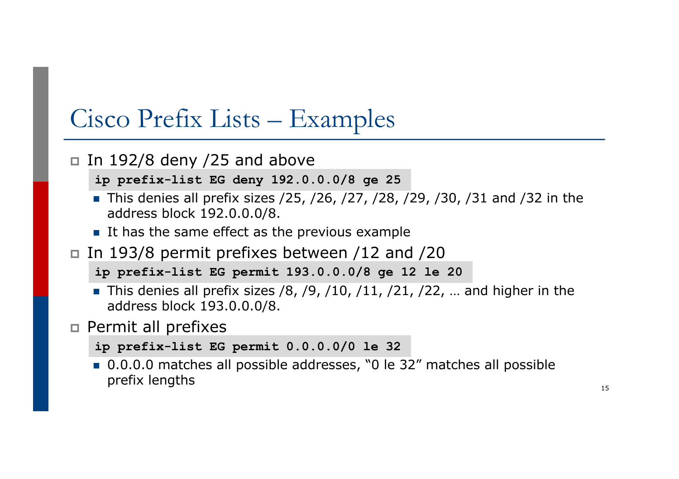### Cisco Prefix Lists – Examples

#### In 192/8 deny /25 and above

**ip prefix-list EG deny 192.0.0.0/8 ge 25**

- **n** This denies all prefix sizes  $/25$ ,  $/26$ ,  $/27$ ,  $/28$ ,  $/29$ ,  $/30$ ,  $/31$  and  $/32$  in the address block 192.0.0.0/8.
- $\blacksquare$  It has the same effect as the previous example
- In 193/8 permit prefixes between /12 and /20
	- **ip prefix-list EG permit 193.0.0.0/8 ge 12 le 20**
	- **n** This denies all prefix sizes /8, /9, /10, /11, /21, /22, ... and higher in the address block 193.0.0.0/8.
- p Permit all prefixes

```
ip prefix-list EG permit 0.0.0.0/0 le 32
```
■ 0.0.0.0 matches all possible addresses, "0 le 32" matches all possible prefix lengths 15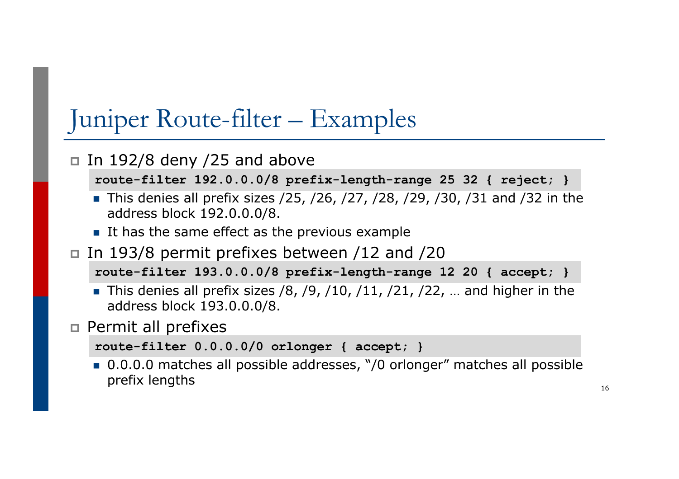# Juniper Route-filter – Examples

#### In 192/8 deny /25 and above

**route-filter 192.0.0.0/8 prefix-length-range 25 32 { reject; }**

- **n** This denies all prefix sizes  $/25$ ,  $/26$ ,  $/27$ ,  $/28$ ,  $/29$ ,  $/30$ ,  $/31$  and  $/32$  in the address block 192.0.0.0/8.
- $\blacksquare$  It has the same effect as the previous example
- In 193/8 permit prefixes between /12 and /20

**route-filter 193.0.0.0/8 prefix-length-range 12 20 { accept; }**

- **n** This denies all prefix sizes /8, /9, /10, /11, /21, /22, ... and higher in the address block 193.0.0.0/8.
- p Permit all prefixes

```
route-filter 0.0.0.0/0 orlonger { accept; }
```
■ 0.0.0.0 matches all possible addresses, "/0 orlonger" matches all possible prefix lengths  $_{16}$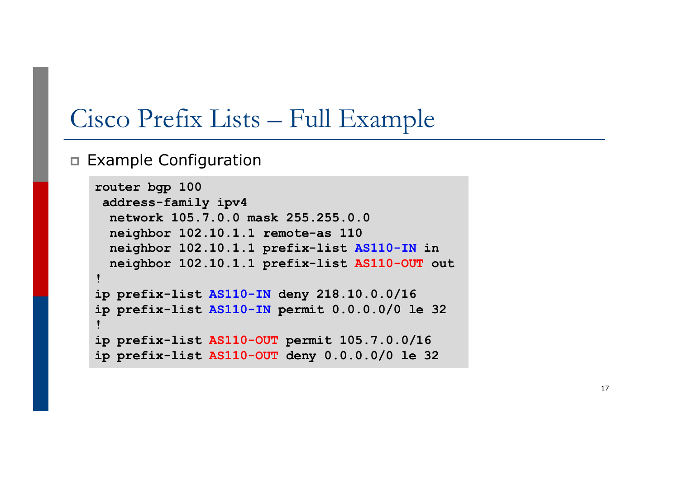### Cisco Prefix Lists – Full Example

#### p Example Configuration

```
router bgp 100
address-family ipv4
 network 105.7.0.0 mask 255.255.0.0
 neighbor 102.10.1.1 remote-as 110
 neighbor 102.10.1.1 prefix-list AS110-IN in
 neighbor 102.10.1.1 prefix-list AS110-OUT out
!
ip prefix-list AS110-IN deny 218.10.0.0/16
ip prefix-list AS110-IN permit 0.0.0.0/0 le 32
!
ip prefix-list AS110-OUT permit 105.7.0.0/16
ip prefix-list AS110-OUT deny 0.0.0.0/0 le 32
```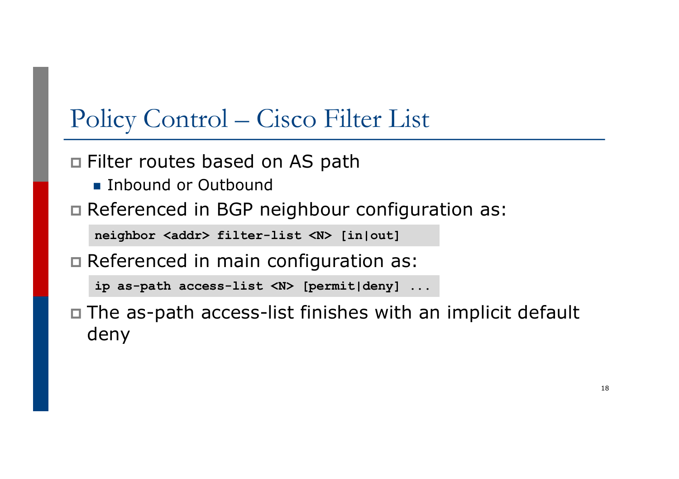## Policy Control – Cisco Filter List

□ Filter routes based on AS path

- n Inbound or Outbound
- p Referenced in BGP neighbour configuration as:

**neighbor <addr> filter-list <N> [in|out]**

p Referenced in main configuration as:

**ip as-path access-list <N> [permit|deny] ...**

p The as-path access-list finishes with an implicit default deny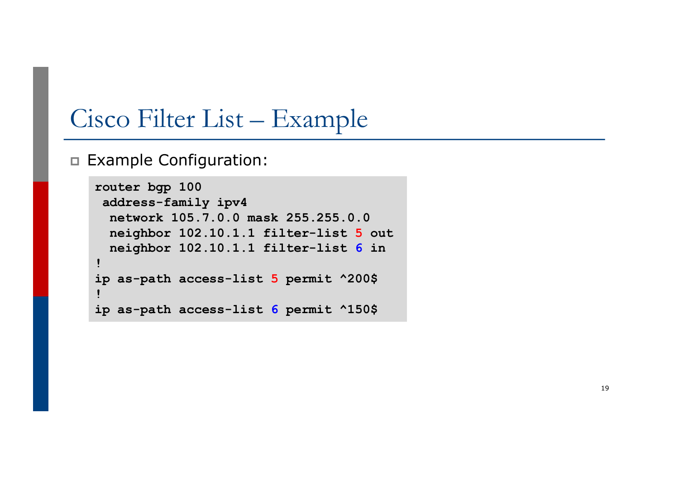### Cisco Filter List – Example

p Example Configuration:

```
router bgp 100
address-family ipv4
 network 105.7.0.0 mask 255.255.0.0
 neighbor 102.10.1.1 filter-list 5 out
 neighbor 102.10.1.1 filter-list 6 in
!
ip as-path access-list 5 permit ^200$
!
ip as-path access-list 6 permit ^150$
```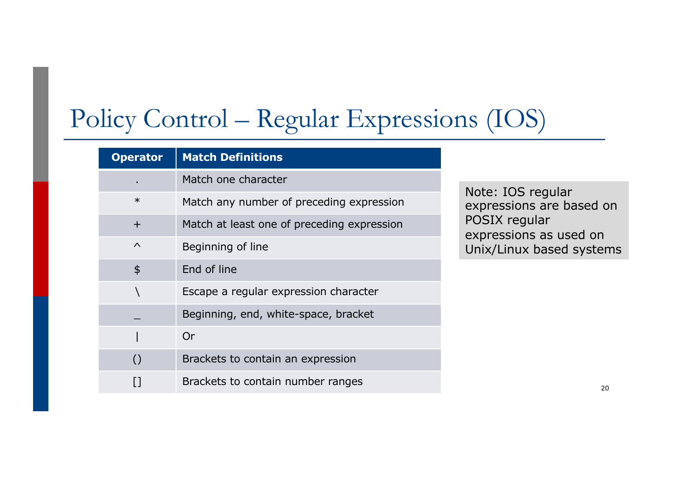# Policy Control – Regular Expressions (IOS)

| <b>Operator</b>  | <b>Match Definitions</b>                   |                                              |
|------------------|--------------------------------------------|----------------------------------------------|
|                  | Match one character                        |                                              |
| $\ast$           | Match any number of preceding expression   | Note: IOS regular<br>expressions are based o |
| $+$              | Match at least one of preceding expression | POSIX regular<br>expressions as used on      |
| $\wedge$         | Beginning of line                          | Unix/Linux based syster                      |
| $\frac{1}{2}$    | End of line                                |                                              |
|                  | Escape a regular expression character      |                                              |
|                  | Beginning, end, white-space, bracket       |                                              |
|                  | Or                                         |                                              |
| $\left( \right)$ | Brackets to contain an expression          |                                              |
|                  | Brackets to contain number ranges          | 20                                           |

IOS regular sions are based on regular sions as used on inux based systems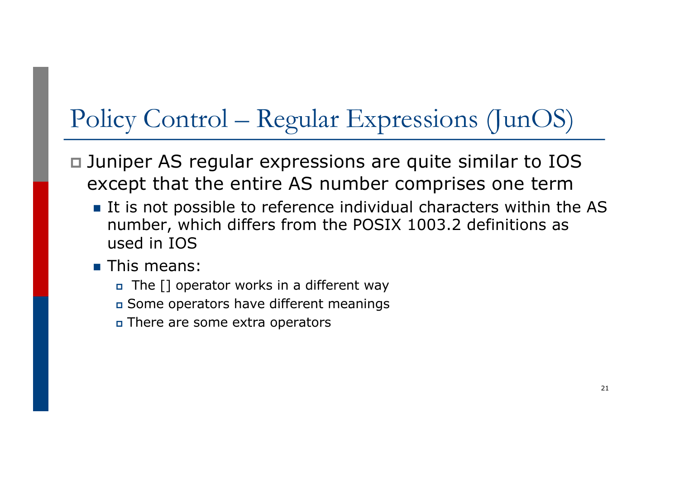# Policy Control – Regular Expressions (JunOS)

- p Juniper AS regular expressions are quite similar to IOS except that the entire AS number comprises one term
	- It is not possible to reference individual characters within the AS number, which differs from the POSIX 1003.2 definitions as used in IOS
	- $\blacksquare$  This means:
		- $\Box$  The [] operator works in a different way
		- <sup>p</sup> Some operators have different meanings
		- <sup>p</sup> There are some extra operators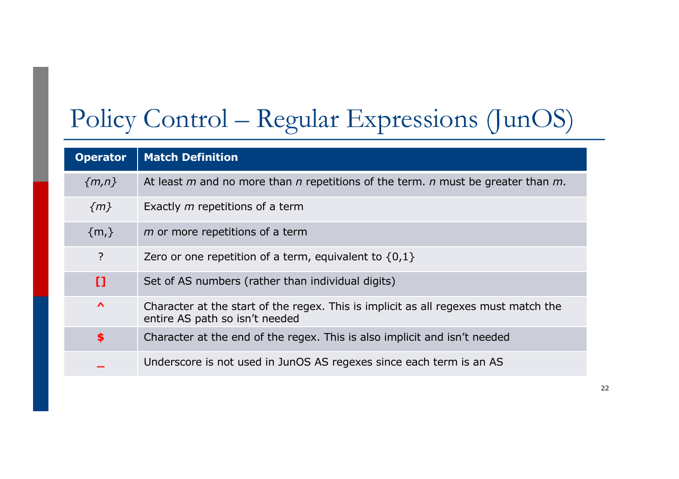# Policy Control – Regular Expressions (JunOS)

| <b>Operator</b>       | <b>Match Definition</b>                                                                                               |
|-----------------------|-----------------------------------------------------------------------------------------------------------------------|
| ${m,n}$               | At least $m$ and no more than $n$ repetitions of the term. $n$ must be greater than $m$ .                             |
| $\{m\}$               | Exactly <i>m</i> repetitions of a term                                                                                |
| $\{m,\}$              | m or more repetitions of a term                                                                                       |
| $\overline{?}$        | Zero or one repetition of a term, equivalent to $\{0,1\}$                                                             |
| n                     | Set of AS numbers (rather than individual digits)                                                                     |
| $\boldsymbol{\wedge}$ | Character at the start of the regex. This is implicit as all regexes must match the<br>entire AS path so isn't needed |
| \$                    | Character at the end of the regex. This is also implicit and isn't needed                                             |
|                       | Underscore is not used in JunOS AS regexes since each term is an AS                                                   |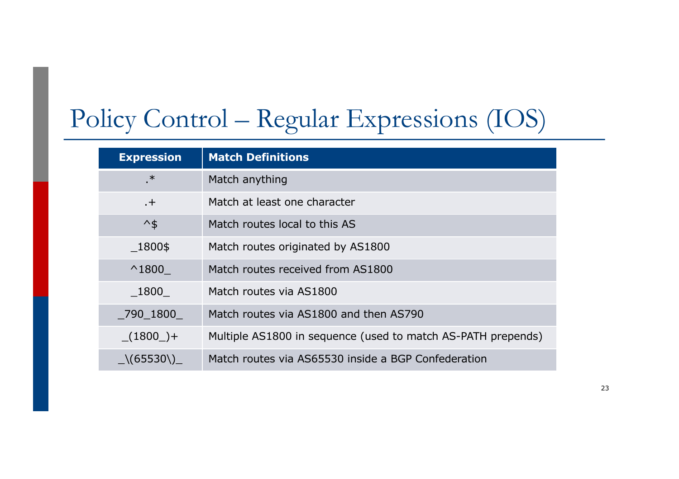# Policy Control – Regular Expressions (IOS)

| <b>Expression</b>  | <b>Match Definitions</b>                                     |
|--------------------|--------------------------------------------------------------|
| .∗.                | Match anything                                               |
| $+$                | Match at least one character                                 |
| $\mathcal{A}_{\$}$ | Match routes local to this AS                                |
| 1800\$             | Match routes originated by AS1800                            |
| $^{\wedge}1800$    | Match routes received from AS1800                            |
| 1800               | Match routes via AS1800                                      |
| 790 1800           | Match routes via AS1800 and then AS790                       |
| $(1800) +$         | Multiple AS1800 in sequence (used to match AS-PATH prepends) |
| $\sqrt{(65530)}$   | Match routes via AS65530 inside a BGP Confederation          |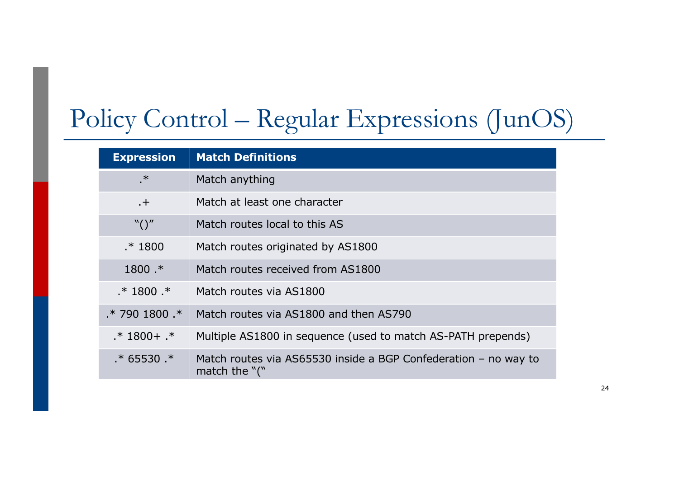# Policy Control – Regular Expressions (JunOS)

| <b>Expression</b>   | <b>Match Definitions</b>                                                              |
|---------------------|---------------------------------------------------------------------------------------|
| $\cdot$             | Match anything                                                                        |
| $+$                 | Match at least one character                                                          |
| $\binom{n}{\alpha}$ | Match routes local to this AS                                                         |
| $.* 1800$           | Match routes originated by AS1800                                                     |
| $1800$ .*           | Match routes received from AS1800                                                     |
| $.* 1800.*$         | Match routes via AS1800                                                               |
| $*7901800.*$        | Match routes via AS1800 and then AS790                                                |
| $.* 1800 + .*$      | Multiple AS1800 in sequence (used to match AS-PATH prepends)                          |
| $.* 65530.*$        | Match routes via AS65530 inside a BGP Confederation $-$ no way to<br>match the $"$ (" |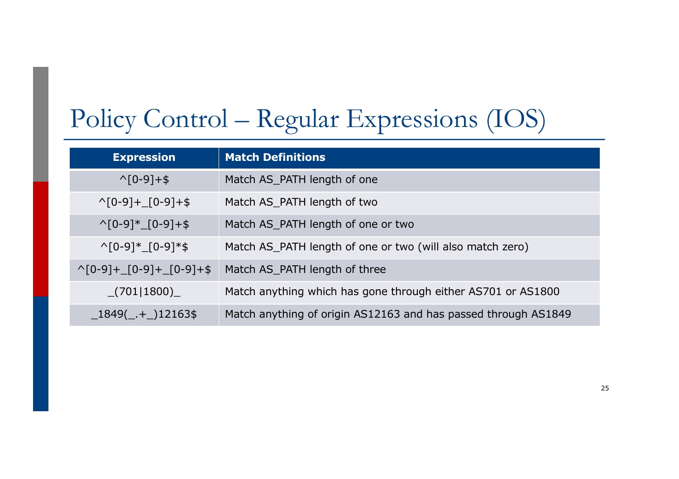# Policy Control – Regular Expressions (IOS)

| <b>Expression</b>                               | <b>Match Definitions</b>                                       |
|-------------------------------------------------|----------------------------------------------------------------|
| $\wedge$ [0-9]+\$                               | Match AS_PATH length of one                                    |
| $\wedge$ [0-9]+_[0-9]+\$                        | Match AS_PATH length of two                                    |
| $\binom{6-9}{1}$ (0-9) + \$                     | Match AS_PATH length of one or two                             |
| $\wedge$ [0-9]* [0-9]*\$                        | Match AS_PATH length of one or two (will also match zero)      |
| $\bigcap_{10-9}$ + $\big[0-9$ + $\big[0-9$ + \$ | Match AS_PATH length of three                                  |
| (701 1800)                                      | Match anything which has gone through either AS701 or AS1800   |
| $1849($ $+$ $12163$ \$                          | Match anything of origin AS12163 and has passed through AS1849 |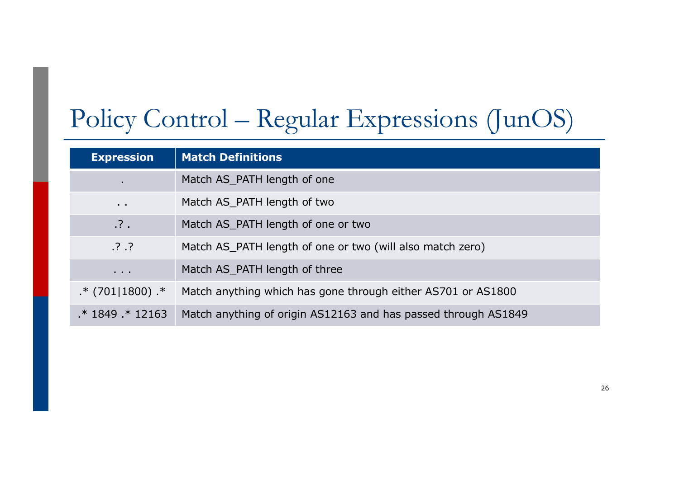# Policy Control – Regular Expressions (JunOS)

| <b>Expression</b>    | <b>Match Definitions</b>                                       |
|----------------------|----------------------------------------------------------------|
| ٠                    | Match AS_PATH length of one                                    |
| $\sim$ $\sim$        | Match AS_PATH length of two                                    |
| $\cdot$ ? $\cdot$    | Match AS_PATH length of one or two                             |
| .3.7                 | Match AS_PATH length of one or two (will also match zero)      |
| $\sim$ $\sim$ $\sim$ | Match AS_PATH length of three                                  |
| $.* (701 1800).*$    | Match anything which has gone through either AS701 or AS1800   |
| $* 1849 * 12163$     | Match anything of origin AS12163 and has passed through AS1849 |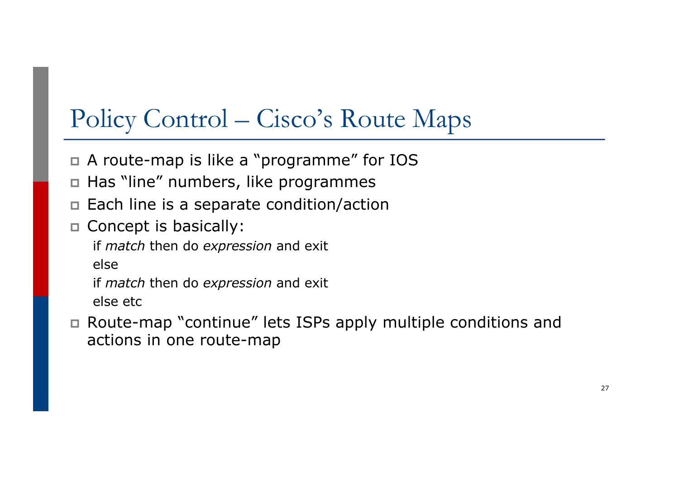# Policy Control – Cisco's Route Maps

- p A route-map is like a "programme" for IOS
- p Has "line" numbers, like programmes
- p Each line is a separate condition/action
- **n** Concept is basically:

if *match* then do *expression* and exit else

if *match* then do *expression* and exit else etc

p Route-map "continue" lets ISPs apply multiple conditions and actions in one route-map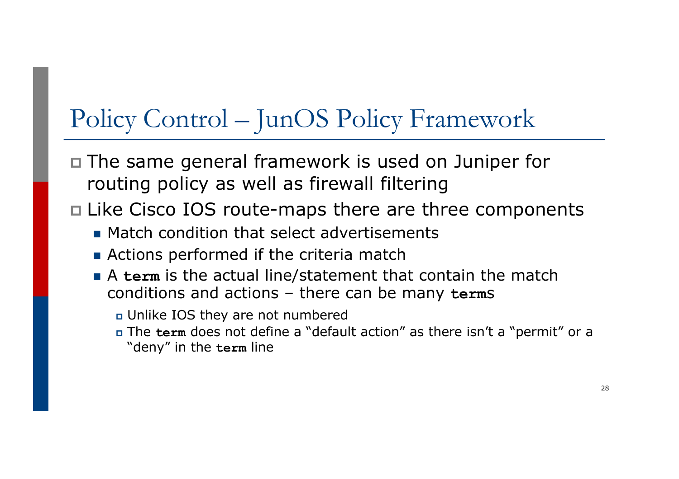# Policy Control – JunOS Policy Framework

- p The same general framework is used on Juniper for routing policy as well as firewall filtering
- p Like Cisco IOS route-maps there are three components
	- **n** Match condition that select advertisements
	- **n** Actions performed if the criteria match
	- A term is the actual line/statement that contain the match conditions and actions – there can be many **term**s
		- <sup>p</sup> Unlike IOS they are not numbered
		- <sup>p</sup> The **term** does not define a "default action" as there isn't a "permit" or a "deny" in the **term** line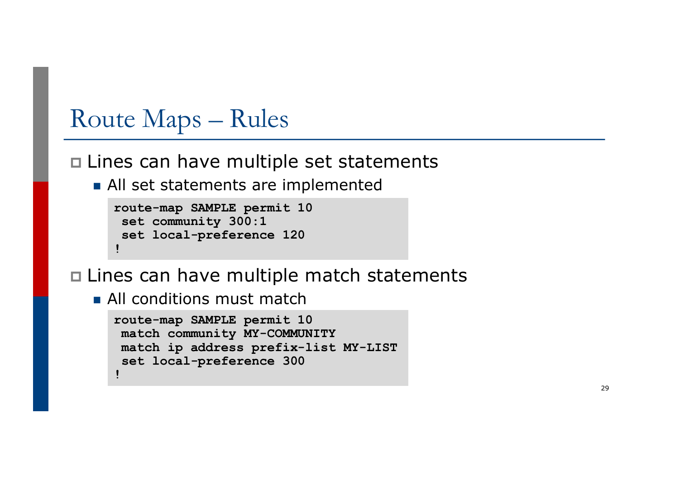- p Lines can have multiple set statements
	- **n** All set statements are implemented

```
route-map SAMPLE permit 10
 set community 300:1
set local-preference 120
!
```
p Lines can have multiple match statements

**n** All conditions must match

```
route-map SAMPLE permit 10
match community MY-COMMUNITY
match ip address prefix-list MY-LIST
 set local-preference 300
!
```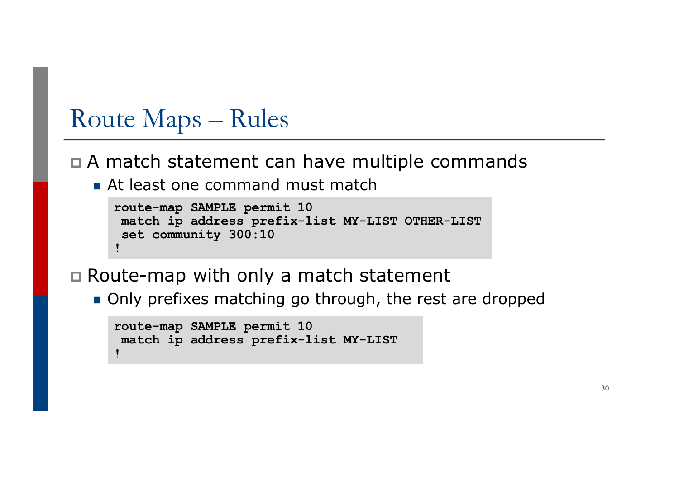#### p A match statement can have multiple commands

**n** At least one command must match

```
route-map SAMPLE permit 10
match ip address prefix-list MY-LIST OTHER-LIST
set community 300:10
!
```
p Route-map with only a match statement

**n** Only prefixes matching go through, the rest are dropped

```
route-map SAMPLE permit 10
match ip address prefix-list MY-LIST
!
```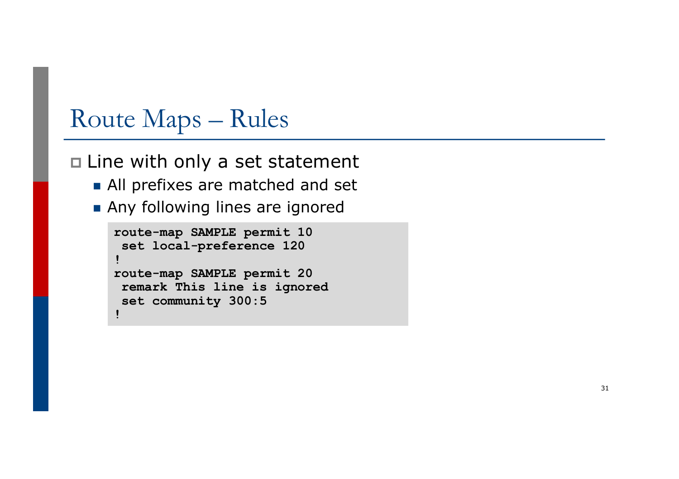p Line with only a set statement

- **All prefixes are matched and set**
- **n** Any following lines are ignored

```
route-map SAMPLE permit 10
 set local-preference 120
!
route-map SAMPLE permit 20
remark This line is ignored
 set community 300:5
!
```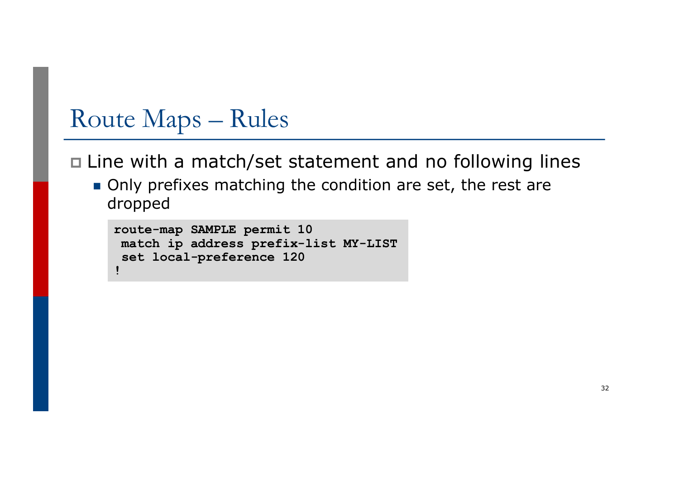p Line with a match/set statement and no following lines

**n** Only prefixes matching the condition are set, the rest are dropped

```
route-map SAMPLE permit 10
match ip address prefix-list MY-LIST
set local-preference 120
!
```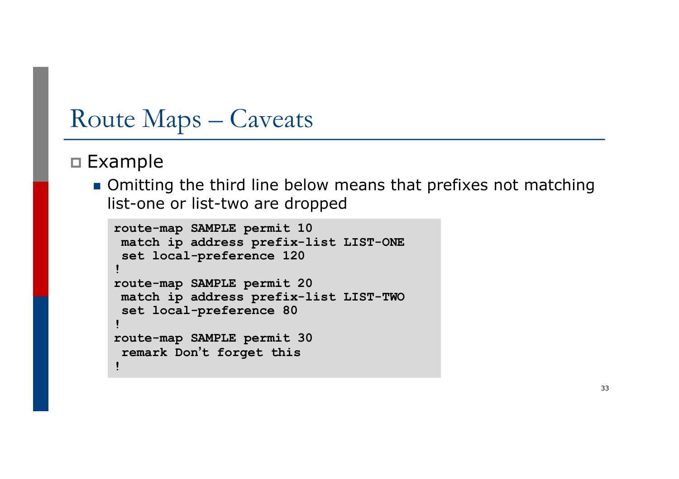### Route Maps – Caveats

#### p Example

**n** Omitting the third line below means that prefixes not matching list-one or list-two are dropped

```
route-map SAMPLE permit 10
match ip address prefix-list LIST-ONE
 set local-preference 120
!
route-map SAMPLE permit 20
match ip address prefix-list LIST-TWO
 set local-preference 80
!
route-map SAMPLE permit 30
 remark Don't forget this
!
```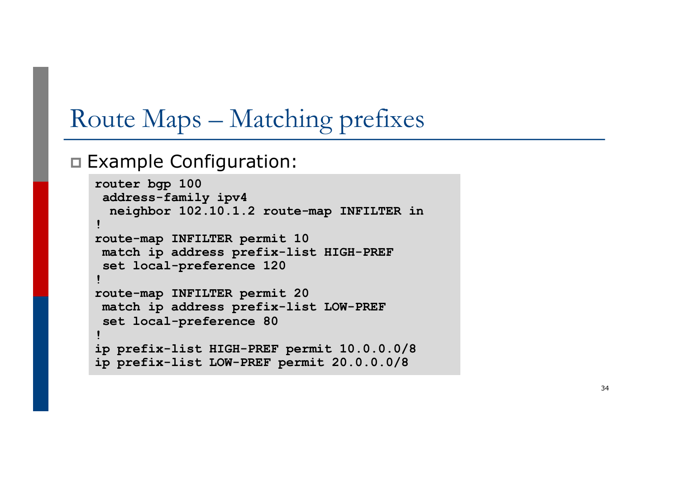# Route Maps – Matching prefixes

#### p Example Configuration:

```
router bgp 100
 address
-family ipv4
  neighbor 102.10.1.2 route
-map INFILTER in
!
route
-map INFILTER permit 10
 match ip address prefix
-list HIGH
-PREF
 set local
-preference 120
!
route
-map INFILTER permit 20
 match ip address prefix
-list LOW
-PREF
 set local
-preference 80
!
ip prefix
-list HIGH
-PREF permit 10.0.0.0/8
ip prefix
-list LOW
-PREF permit 20.0.0.0/8
```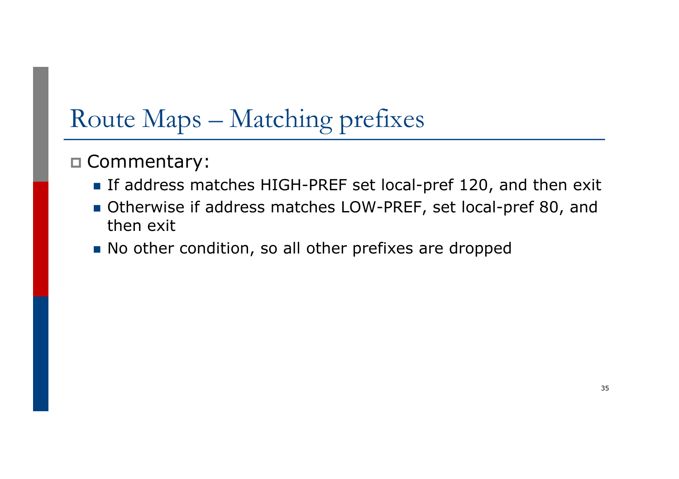# Route Maps – Matching prefixes

#### p Commentary:

- **n** If address matches HIGH-PREF set local-pref 120, and then exit
- Otherwise if address matches LOW-PREF, set local-pref 80, and then exit
- No other condition, so all other prefixes are dropped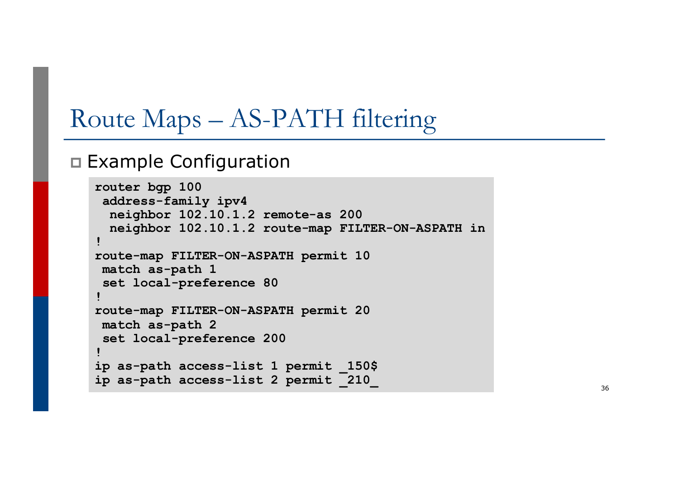## Route Maps – AS-PATH filtering

#### p Example Configuration

```
router bgp 100
address-family ipv4
 neighbor 102.10.1.2 remote-as 200
 neighbor 102.10.1.2 route-map FILTER-ON-ASPATH in
!
route-map FILTER-ON-ASPATH permit 10
match as-path 1
set local-preference 80
!
route-map FILTER-ON-ASPATH permit 20
match as-path 2 
set local-preference 200
!
ip as-path access-list 1 permit _150$
ip as-path access-list 2 permit _210_
```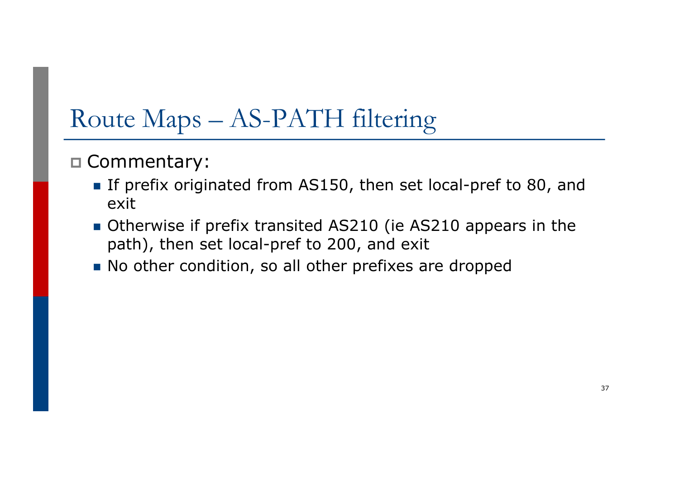# Route Maps – AS-PATH filtering

- p Commentary:
	- **n** If prefix originated from AS150, then set local-pref to 80, and exit
	- **n** Otherwise if prefix transited AS210 (ie AS210 appears in the path), then set local-pref to 200, and exit
	- No other condition, so all other prefixes are dropped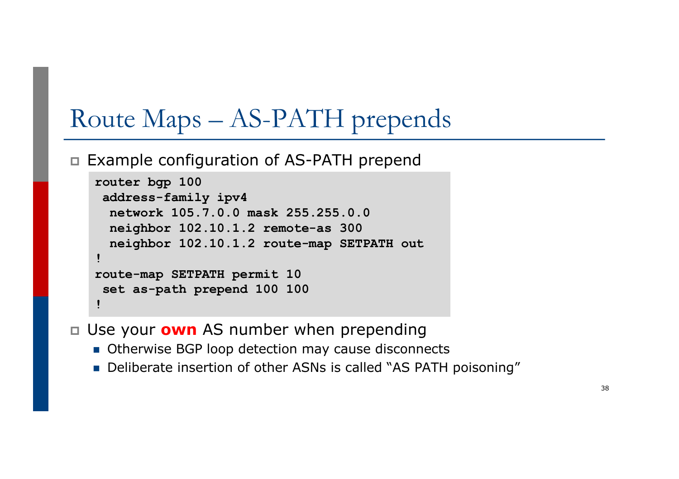# Route Maps – AS-PATH prepends

p Example configuration of AS-PATH prepend

```
\mathbf{r}_{\text{max}}router bgp 100
 address-family ipv4
  network 105.7.0.0 mask 255.255.0.0
  neighbor 102.10.1.2 remote-as 300
  neighbor 102.10.1.2 route-map SETPATH out
!
route-map SETPATH permit 10
 set as-path prepend 100 100
!
```
p Use your **own** AS number when prepending

- Otherwise BGP loop detection may cause disconnects
- Deliberate insertion of other ASNs is called "AS PATH poisoning"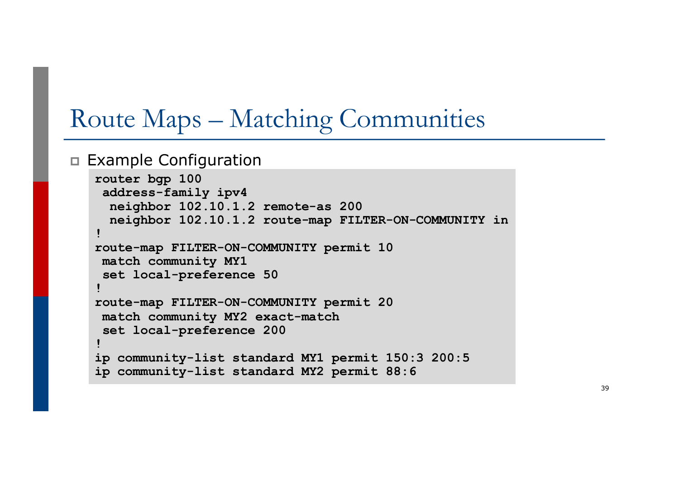## Route Maps – Matching Communities

p Example Configuration

```
router bgp 100
address-family ipv4
 neighbor 102.10.1.2 remote-as 200
 neighbor 102.10.1.2 route-map FILTER-ON-COMMUNITY in
!
route-map FILTER-ON-COMMUNITY permit 10
match community MY1
set local-preference 50
!
route-map FILTER-ON-COMMUNITY permit 20
match community MY2 exact-match
set local-preference 200
!
ip community-list standard MY1 permit 150:3 200:5
ip community-list standard MY2 permit 88:6
```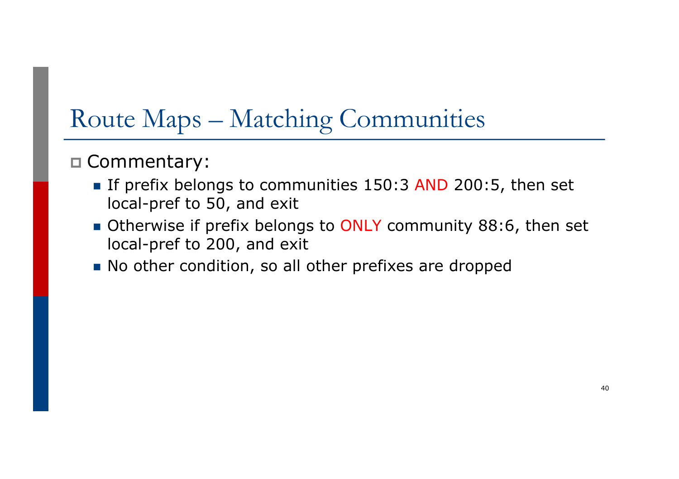# Route Maps – Matching Communities

- p Commentary:
	- **n** If prefix belongs to communities 150:3 AND 200:5, then set local-pref to 50, and exit
	- Otherwise if prefix belongs to ONLY community 88:6, then set local-pref to 200, and exit
	- No other condition, so all other prefixes are dropped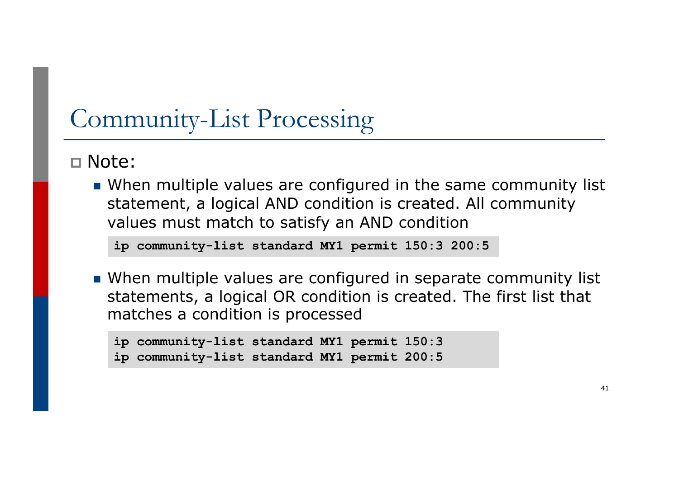# Community-List Processing

p Note:

**Notal multiple values are configured in the same community list** statement, a logical AND condition is created. All community values must match to satisfy an AND condition

```
ip community-list standard MY1 permit 150:3 200:5
```
**Notal multiple values are configured in separate community list** statements, a logical OR condition is created. The first list that matches a condition is processed

```
ip community-list standard MY1 permit 150:3
ip community-list standard MY1 permit 200:5
```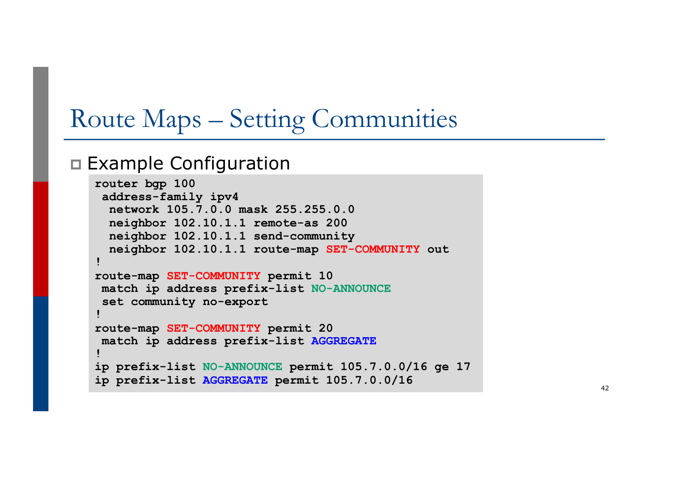# Route Maps – Setting Communities

#### p Example Configuration

```
router bgp 100
address-family ipv4
 network 105.7.0.0 mask 255.255.0.0
 neighbor 102.10.1.1 remote-as 200
 neighbor 102.10.1.1 send-community
 neighbor 102.10.1.1 route-map SET-COMMUNITY out
!
route-map SET-COMMUNITY permit 10
match ip address prefix-list NO-ANNOUNCE
 set community no-export
!
route-map SET-COMMUNITY permit 20
match ip address prefix-list AGGREGATE
!
ip prefix-list NO-ANNOUNCE permit 105.7.0.0/16 ge 17
ip prefix-list AGGREGATE permit 105.7.0.0/16
```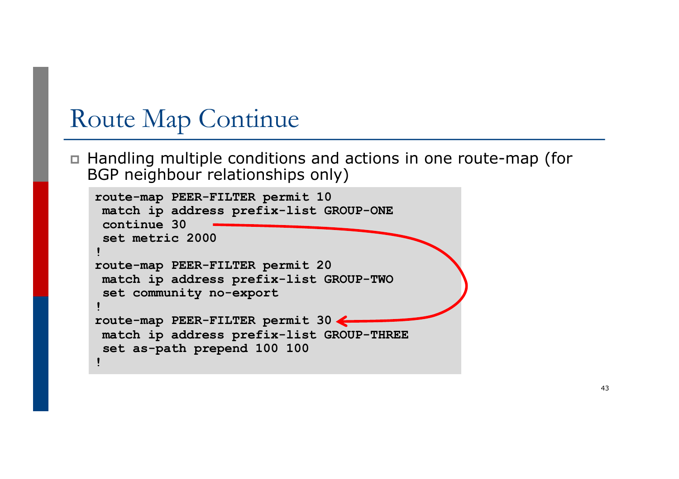## Route Map Continue

p Handling multiple conditions and actions in one route-map (for BGP neighbour relationships only)

```
route-map PEER-FILTER permit 10
match ip address prefix-list GROUP-ONE
continue 30
set metric 2000
!
route-map PEER-FILTER permit 20
match ip address prefix-list GROUP-TWO
set community no-export
!
route-map PEER-FILTER permit 30
match ip address prefix-list GROUP-THREE
set as-path prepend 100 100
!
```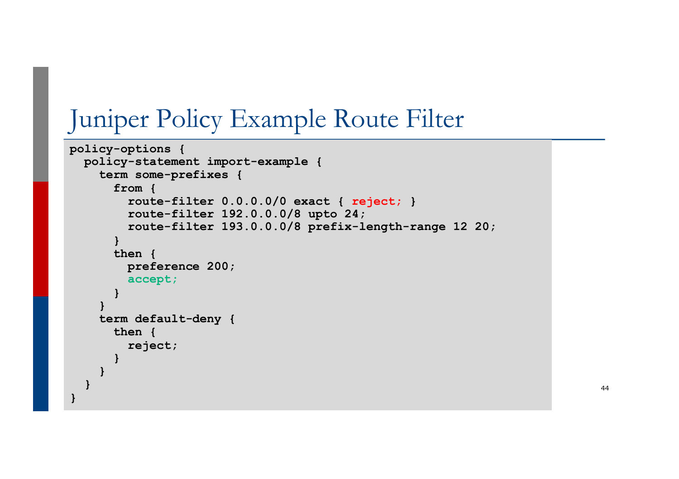# Juniper Policy Example Route Filter

```
policy-options {
  policy-statement import-example {
    term some-prefixes {
      from {
        route-filter 0.0.0.0/0 exact { reject; }
        route-filter 192.0.0.0/8 upto 24;
        route-filter 193.0.0.0/8 prefix-length-range 12 20;
      }
      then {
        preference 200;
        accept;
      }
    }
    term default-deny {
      then {
        reject;
      }
    }
  }
}
```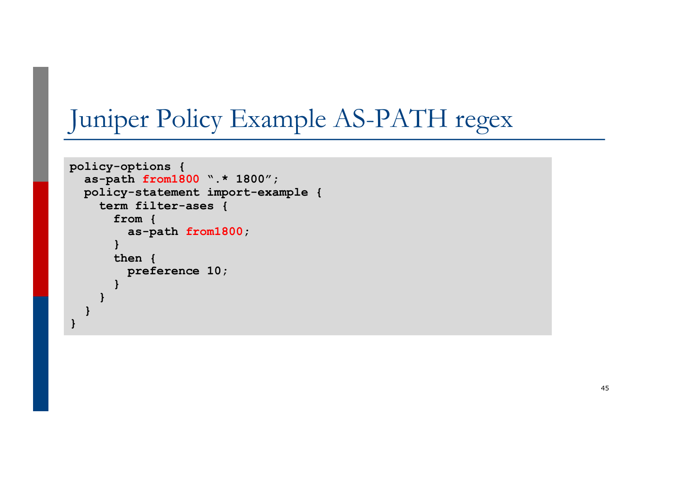# Juniper Policy Example AS-PATH regex

```
policy-options {
  as-path from1800 ".* 1800";
  policy-statement import-example {
    term filter-ases {
      from {
        as-path from1800;
      }
      then {
        preference 10;
      }
    }
  } 
}
```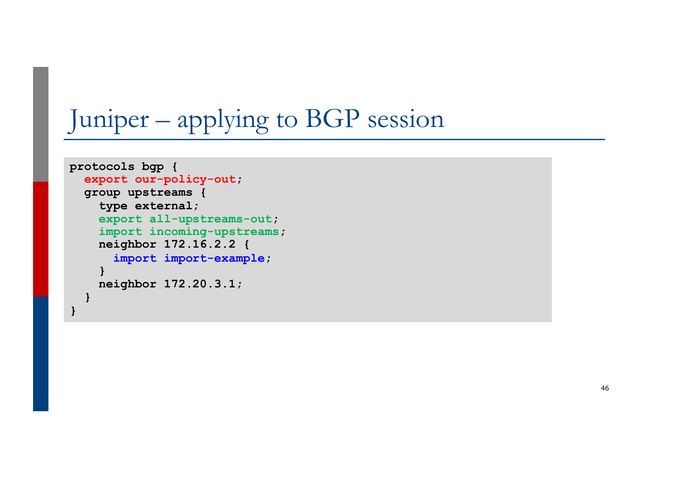# Juniper – applying to BGP session

```
protocols bgp {
  export our-policy-out;
  group upstreams {
    type external;
    export all-upstreams-out;
    import incoming-upstreams;
    neighbor 172.16.2.2 {
      import import-example;
    }
    neighbor 172.20.3.1;
  }
}
```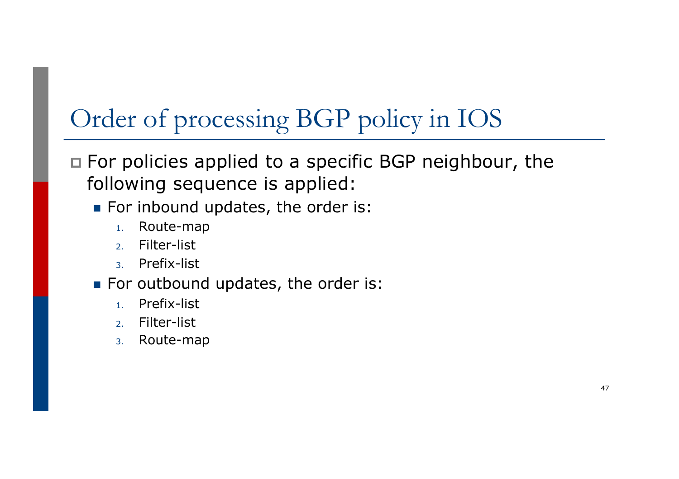# Order of processing BGP policy in IOS

#### p For policies applied to a specific BGP neighbour, the following sequence is applied:

- For inbound updates, the order is:
	- 1. Route-map
	- 2. Filter-list
	- 3. Prefix-list
- For outbound updates, the order is:
	- 1. Prefix-list
	- 2. Filter-list
	- 3. Route-map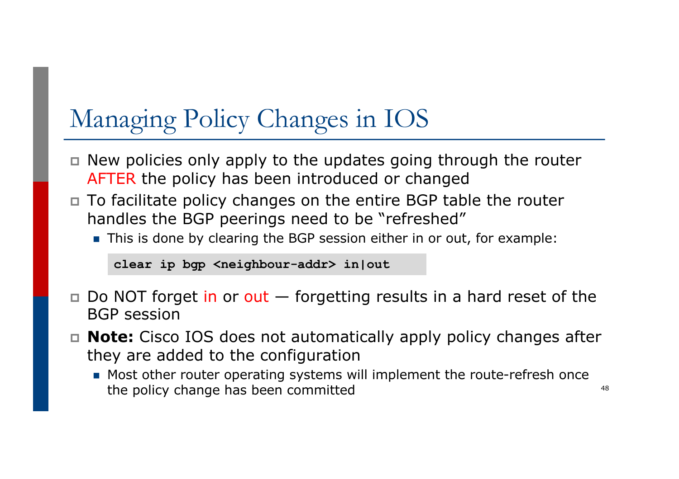# Managing Policy Changes in IOS

- $\Box$  New policies only apply to the updates going through the router AFTER the policy has been introduced or changed
- p To facilitate policy changes on the entire BGP table the router handles the BGP peerings need to be "refreshed"
	- **n** This is done by clearing the BGP session either in or out, for example:

**clear ip bgp <neighbour-addr> in|out**

- $\Box$  Do NOT forget in or out  $\Box$  forgetting results in a hard reset of the BGP session
- p **Note:** Cisco IOS does not automatically apply policy changes after they are added to the configuration
	- Most other router operating systems will implement the route-refresh once the policy change has been committed  $48$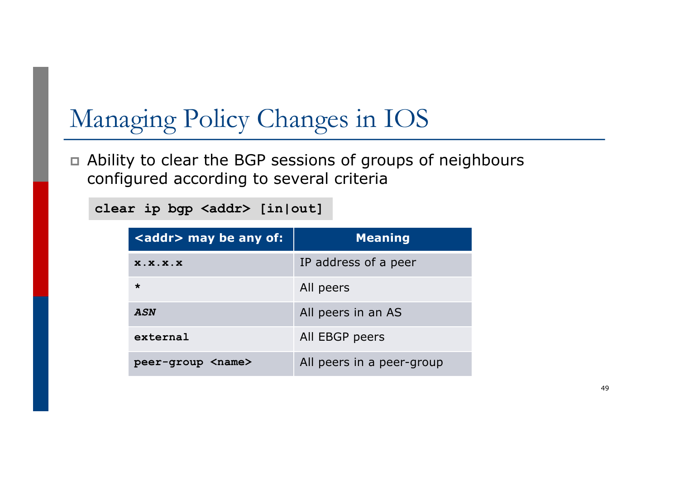# Managing Policy Changes in IOS

p Ability to clear the BGP sessions of groups of neighbours configured according to several criteria

**clear ip bgp <addr> [in|out]**

| <addr> may be any of:</addr> | <b>Meaning</b>            |
|------------------------------|---------------------------|
| X.X.X.X                      | IP address of a peer      |
| $\star$                      | All peers                 |
| ASN                          | All peers in an AS        |
| external                     | All EBGP peers            |
| peer-group <name></name>     | All peers in a peer-group |